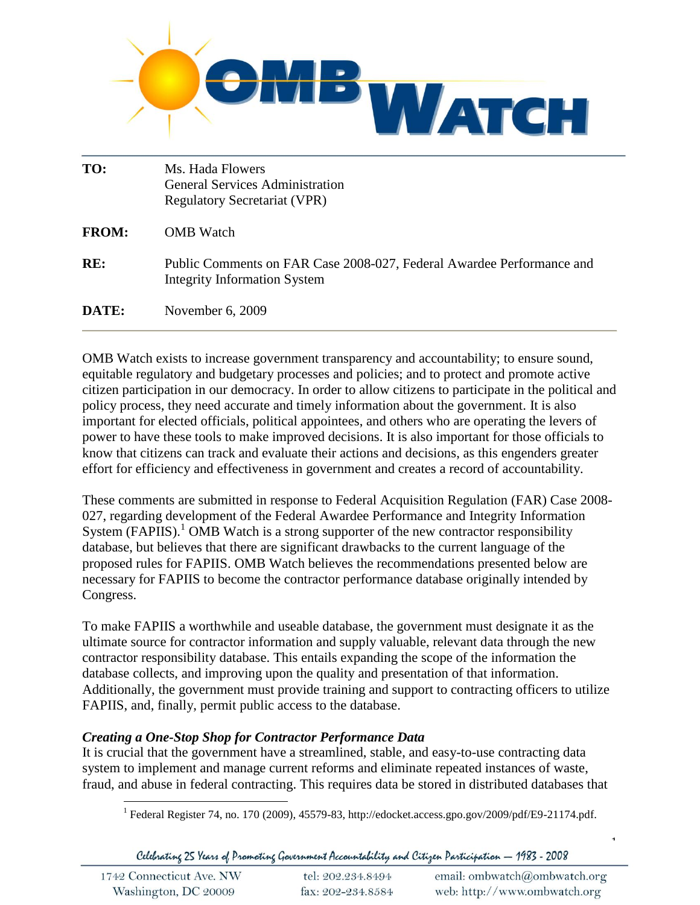

| TO:          | Ms. Hada Flowers<br><b>General Services Administration</b><br><b>Regulatory Secretariat (VPR)</b>     |
|--------------|-------------------------------------------------------------------------------------------------------|
| <b>FROM:</b> | <b>OMB</b> Watch                                                                                      |
| RE:          | Public Comments on FAR Case 2008-027, Federal Awardee Performance and<br>Integrity Information System |
| DATE:        | November 6, 2009                                                                                      |

OMB Watch exists to increase government transparency and accountability; to ensure sound, equitable regulatory and budgetary processes and policies; and to protect and promote active citizen participation in our democracy. In order to allow citizens to participate in the political and policy process, they need accurate and timely information about the government. It is also important for elected officials, political appointees, and others who are operating the levers of power to have these tools to make improved decisions. It is also important for those officials to know that citizens can track and evaluate their actions and decisions, as this engenders greater effort for efficiency and effectiveness in government and creates a record of accountability.

These comments are submitted in response to Federal Acquisition Regulation (FAR) Case 2008- 027, regarding development of the Federal Awardee Performance and Integrity Information System  $(FAPIIS)$ .<sup>1</sup> OMB Watch is a strong supporter of the new contractor responsibility database, but believes that there are significant drawbacks to the current language of the proposed rules for FAPIIS. OMB Watch believes the recommendations presented below are necessary for FAPIIS to become the contractor performance database originally intended by Congress.

To make FAPIIS a worthwhile and useable database, the government must designate it as the ultimate source for contractor information and supply valuable, relevant data through the new contractor responsibility database. This entails expanding the scope of the information the database collects, and improving upon the quality and presentation of that information. Additionally, the government must provide training and support to contracting officers to utilize FAPIIS, and, finally, permit public access to the database.

# *Creating a One-Stop Shop for Contractor Performance Data*

It is crucial that the government have a streamlined, stable, and easy-to-use contracting data system to implement and manage current reforms and eliminate repeated instances of waste, fraud, and abuse in federal contracting. This requires data be stored in distributed databases that

1

Celebrating 25 Years of Promoting Government Accountability and Citizen Participation - 1983 - 2008

 1 Federal Register 74, no. 170 (2009), 45579-83, http://edocket.access.gpo.gov/2009/pdf/E9-21174.pdf.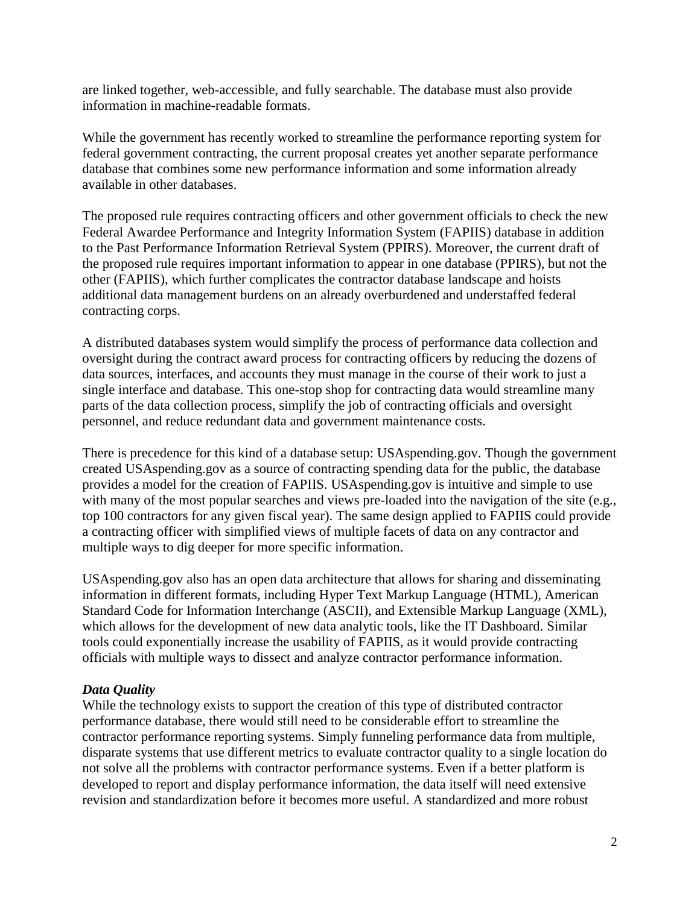are linked together, web-accessible, and fully searchable. The database must also provide information in machine-readable formats.

While the government has recently worked to streamline the performance reporting system for federal government contracting, the current proposal creates yet another separate performance database that combines some new performance information and some information already available in other databases.

The proposed rule requires contracting officers and other government officials to check the new Federal Awardee Performance and Integrity Information System (FAPIIS) database in addition to the Past Performance Information Retrieval System (PPIRS). Moreover, the current draft of the proposed rule requires important information to appear in one database (PPIRS), but not the other (FAPIIS), which further complicates the contractor database landscape and hoists additional data management burdens on an already overburdened and understaffed federal contracting corps.

A distributed databases system would simplify the process of performance data collection and oversight during the contract award process for contracting officers by reducing the dozens of data sources, interfaces, and accounts they must manage in the course of their work to just a single interface and database. This one-stop shop for contracting data would streamline many parts of the data collection process, simplify the job of contracting officials and oversight personnel, and reduce redundant data and government maintenance costs.

There is precedence for this kind of a database setup: USAspending.gov. Though the government created USAspending.gov as a source of contracting spending data for the public, the database provides a model for the creation of FAPIIS. USAspending.gov is intuitive and simple to use with many of the most popular searches and views pre-loaded into the navigation of the site (e.g., top 100 contractors for any given fiscal year). The same design applied to FAPIIS could provide a contracting officer with simplified views of multiple facets of data on any contractor and multiple ways to dig deeper for more specific information.

USAspending.gov also has an open data architecture that allows for sharing and disseminating information in different formats, including Hyper Text Markup Language (HTML), American Standard Code for Information Interchange (ASCII), and Extensible Markup Language (XML), which allows for the development of new data analytic tools, like the IT Dashboard. Similar tools could exponentially increase the usability of FAPIIS, as it would provide contracting officials with multiple ways to dissect and analyze contractor performance information.

# *Data Quality*

While the technology exists to support the creation of this type of distributed contractor performance database, there would still need to be considerable effort to streamline the contractor performance reporting systems. Simply funneling performance data from multiple, disparate systems that use different metrics to evaluate contractor quality to a single location do not solve all the problems with contractor performance systems. Even if a better platform is developed to report and display performance information, the data itself will need extensive revision and standardization before it becomes more useful. A standardized and more robust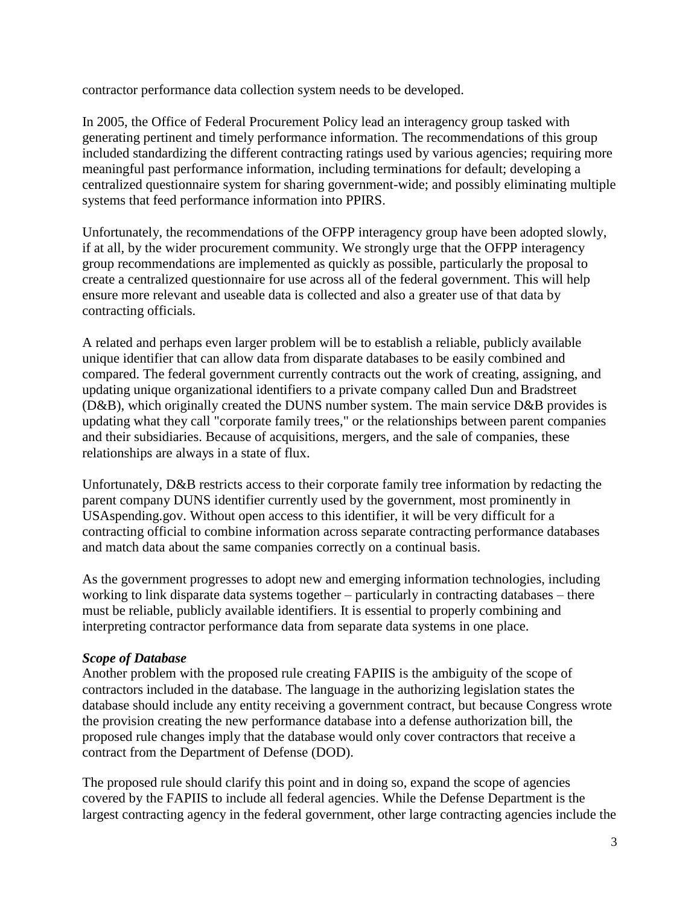contractor performance data collection system needs to be developed.

In 2005, the Office of Federal Procurement Policy lead an interagency group tasked with generating pertinent and timely performance information. The recommendations of this group included standardizing the different contracting ratings used by various agencies; requiring more meaningful past performance information, including terminations for default; developing a centralized questionnaire system for sharing government-wide; and possibly eliminating multiple systems that feed performance information into PPIRS.

Unfortunately, the recommendations of the OFPP interagency group have been adopted slowly, if at all, by the wider procurement community. We strongly urge that the OFPP interagency group recommendations are implemented as quickly as possible, particularly the proposal to create a centralized questionnaire for use across all of the federal government. This will help ensure more relevant and useable data is collected and also a greater use of that data by contracting officials.

A related and perhaps even larger problem will be to establish a reliable, publicly available unique identifier that can allow data from disparate databases to be easily combined and compared. The federal government currently contracts out the work of creating, assigning, and updating unique organizational identifiers to a private company called Dun and Bradstreet (D&B), which originally created the DUNS number system. The main service D&B provides is updating what they call "corporate family trees," or the relationships between parent companies and their subsidiaries. Because of acquisitions, mergers, and the sale of companies, these relationships are always in a state of flux.

Unfortunately, D&B restricts access to their corporate family tree information by redacting the parent company DUNS identifier currently used by the government, most prominently in USAspending.gov. Without open access to this identifier, it will be very difficult for a contracting official to combine information across separate contracting performance databases and match data about the same companies correctly on a continual basis.

As the government progresses to adopt new and emerging information technologies, including working to link disparate data systems together – particularly in contracting databases – there must be reliable, publicly available identifiers. It is essential to properly combining and interpreting contractor performance data from separate data systems in one place.

# *Scope of Database*

Another problem with the proposed rule creating FAPIIS is the ambiguity of the scope of contractors included in the database. The language in the authorizing legislation states the database should include any entity receiving a government contract, but because Congress wrote the provision creating the new performance database into a defense authorization bill, the proposed rule changes imply that the database would only cover contractors that receive a contract from the Department of Defense (DOD).

The proposed rule should clarify this point and in doing so, expand the scope of agencies covered by the FAPIIS to include all federal agencies. While the Defense Department is the largest contracting agency in the federal government, other large contracting agencies include the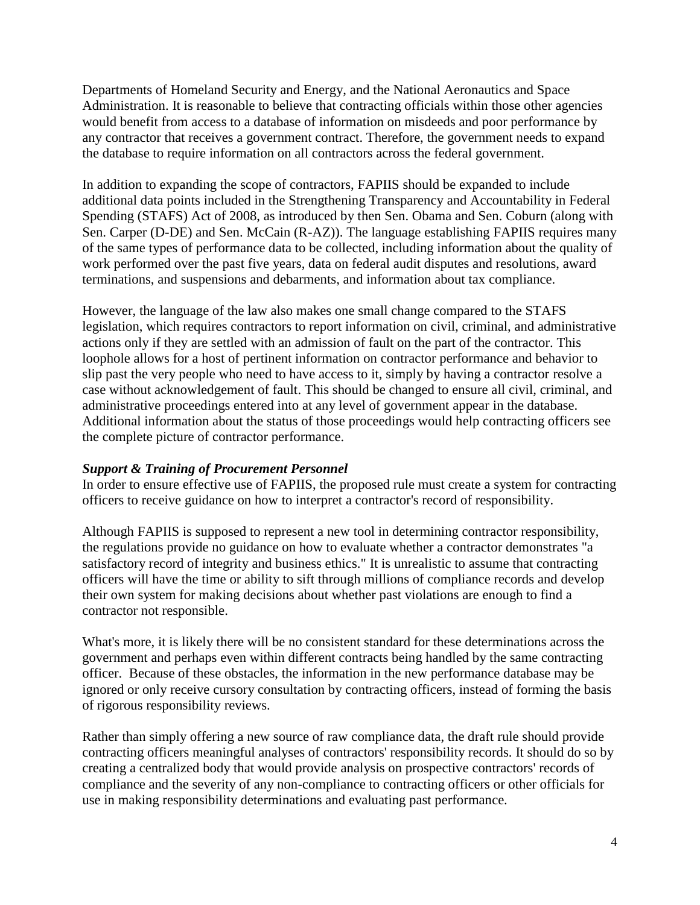Departments of Homeland Security and Energy, and the National Aeronautics and Space Administration. It is reasonable to believe that contracting officials within those other agencies would benefit from access to a database of information on misdeeds and poor performance by any contractor that receives a government contract. Therefore, the government needs to expand the database to require information on all contractors across the federal government.

In addition to expanding the scope of contractors, FAPIIS should be expanded to include additional data points included in the Strengthening Transparency and Accountability in Federal Spending (STAFS) Act of 2008, as introduced by then Sen. Obama and Sen. Coburn (along with Sen. Carper (D-DE) and Sen. McCain (R-AZ)). The language establishing FAPIIS requires many of the same types of performance data to be collected, including information about the quality of work performed over the past five years, data on federal audit disputes and resolutions, award terminations, and suspensions and debarments, and information about tax compliance.

However, the language of the law also makes one small change compared to the STAFS legislation, which requires contractors to report information on civil, criminal, and administrative actions only if they are settled with an admission of fault on the part of the contractor. This loophole allows for a host of pertinent information on contractor performance and behavior to slip past the very people who need to have access to it, simply by having a contractor resolve a case without acknowledgement of fault. This should be changed to ensure all civil, criminal, and administrative proceedings entered into at any level of government appear in the database. Additional information about the status of those proceedings would help contracting officers see the complete picture of contractor performance.

# *Support & Training of Procurement Personnel*

In order to ensure effective use of FAPIIS, the proposed rule must create a system for contracting officers to receive guidance on how to interpret a contractor's record of responsibility.

Although FAPIIS is supposed to represent a new tool in determining contractor responsibility, the regulations provide no guidance on how to evaluate whether a contractor demonstrates "a satisfactory record of integrity and business ethics." It is unrealistic to assume that contracting officers will have the time or ability to sift through millions of compliance records and develop their own system for making decisions about whether past violations are enough to find a contractor not responsible.

What's more, it is likely there will be no consistent standard for these determinations across the government and perhaps even within different contracts being handled by the same contracting officer. Because of these obstacles, the information in the new performance database may be ignored or only receive cursory consultation by contracting officers, instead of forming the basis of rigorous responsibility reviews.

Rather than simply offering a new source of raw compliance data, the draft rule should provide contracting officers meaningful analyses of contractors' responsibility records. It should do so by creating a centralized body that would provide analysis on prospective contractors' records of compliance and the severity of any non-compliance to contracting officers or other officials for use in making responsibility determinations and evaluating past performance.